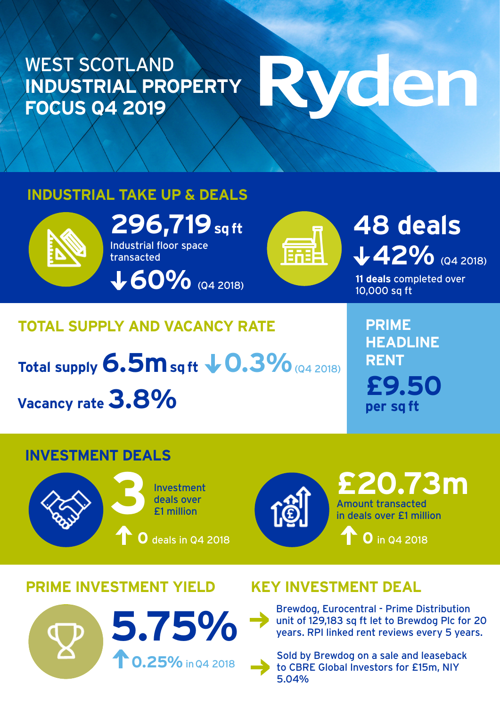#### WEST SCOTLAND **INDUSTRIAL PROPERTY FOCUS Q4 2019**

# vden

#### **INDUSTRIAL TAKE UP & DEALS**



**296,719** sq ft<br> **A8 deals**<br> **Enclusive Litransacted** Industrial floor space transacted

**60%** (Q4 2018)



## **42% (Q4 2018)**

**11 deals** completed over 10,000 sq ft

### **TOTAL SUPPLY AND VACANCY RATE**

Total supply **6.5m** sq ft  $\bigvee 0.3\%$  (Q4 2018) **Vacancy rate 3.8%**

**PRIME HEADLINE RENT £9.50 per sq ft**

#### **INVESTMENT DEALS**





Amount transacted in deals over £1 million **£20.73m**

**0** in Q4 2018

#### **PRIME INVESTMENT YIELD KEY INVESTMENT DEAL**







Sold by Brewdog on a sale and leaseback to CBRE Global Investors for £15m, NIY 5.04%